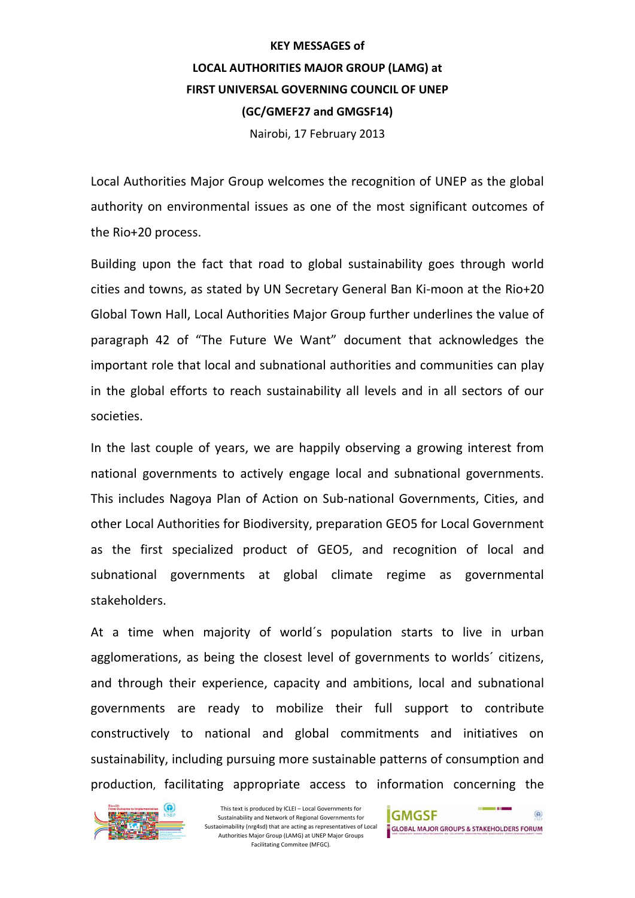#### **KEY MESSAGES of**

# **LOCAL AUTHORITIES MAJOR GROUP (LAMG) at FIRST UNIVERSAL GOVERNING COUNCIL OF UNEP (GC/GMEF27 and GMGSF14)**

Nairobi, 17 February 2013

Local Authorities Major Group welcomes the recognition of UNEP as the global authority on environmental issues as one of the most significant outcomes of the Rio+20 process.

Building upon the fact that road to global sustainability goes through world cities and towns, as stated by UN Secretary General Ban Ki-moon at the Rio+20 Global Town Hall, Local Authorities Major Group further underlines the value of paragraph 42 of "The Future We Want" document that acknowledges the important role that local and subnational authorities and communities can play in the global efforts to reach sustainability all levels and in all sectors of our societies.

In the last couple of years, we are happily observing a growing interest from national governments to actively engage local and subnational governments. This includes Nagoya Plan of Action on Sub-national Governments, Cities, and other Local Authorities for Biodiversity, preparation GEO5 for Local Government as the first specialized product of GEO5, and recognition of local and subnational governments at global climate regime as governmental stakeholders.

At a time when majority of world´s population starts to live in urban agglomerations, as being the closest level of governments to worlds´ citizens, and through their experience, capacity and ambitions, local and subnational governments are ready to mobilize their full support to contribute constructively to national and global commitments and initiatives on sustainability, including pursuing more sustainable patterns of consumption and production, facilitating appropriate access to information concerning the



This text is produced by ICLEI – Local Governments for Sustainability and Network of Regional Governments for Sustaoimability (nrg4sd) that are acting as representatives of Local Authorities Major Group (LAMG) at UNEP Major Groups Facilitating Commitee (MFGC).